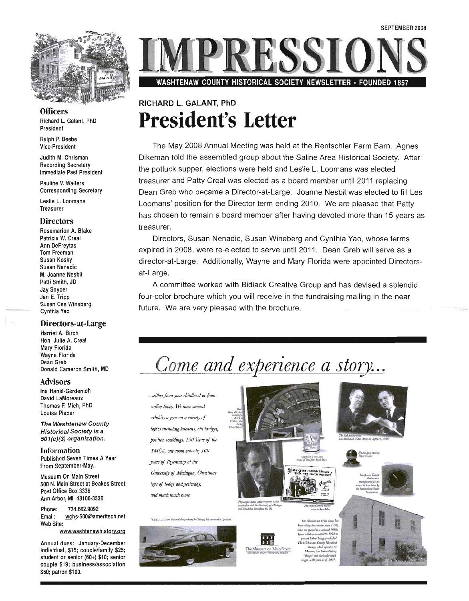

**Officers** Richard L. Galant, PhD President

Ralph P. Beebe Vice-President

Judith M. Chrisman Recording Secretary Immediate Past President

Pauline V. Walters Corresponding Secretary

Leslie L. Loomans Treasurer

#### **Directors**

Rosemarion A. Blake Patricia W. Creal Ann DeFreytas Tom Freeman Susan Kosky Susan Nenadic M. Joanne Nesbit Patti Smith, JD Jay Snyder Jan E. Tripp Susan Cee Wineberg Cynthia Yao

#### Directors-at-Large

Harriet A. Birch Hon. Julie A. Creal Mary Florida Wayne Florida Dean Greb Donald Cameron Smith, MD

#### Advisors

Ina Hanel-Gerdenich David LaMoreaux Thomas F. Mich, PhD Louisa Pieper

The Washtenaw County Historical Society is a 501(c)(3) organization.

Information Published Seven Times A Year From September-May.

Museum On Main Street 500 N. Main Street at Beakes Street Post Office Box 3336 Ann Arbor, MI 48106-3336

Phone: 734.662.9092 Email: wchs-500@ameritech.net Web Site:

www.washtenawhistory.org

Annual dues: January-December individual, \$15; couple/family \$25; student or senior (60+) \$10; senior couple \$19; business/association \$50; patron \$100.

PRESSIC

WASHTENAW COUNTY HISTORICAL SOCIETY NEWSLETTER· FOUNDED 1857

## RICHARD L. GALANT, PhD **President's Letter**

The May 2008 Annual Meeting was held at the Rentschler Farm Barn. Agnes Dikeman told the assembled group about the Saline Area Historical Society. After the potluck supper, elections were held and Leslie L. Loomans was elected treasurer and Patty Creal was elected as a board member until 2011 replacing Dean Greb who became a Director-at-Large. Joanne Nesbit was elected to fill Les Loomans' position for the Director term ending 2010. We are pleased that Patty has chosen to remain a board member after having devoted more than 15 years as treasurer.

Directors, Susan Nenadic, Susan Wineberg and Cynthia Yao, whose terms expired in 2008, were re-elected to serve until 2011. Dean Greb will serve as a director-at-Large. Additionally, Wayne and Mary Florida were appointed Directorsat-Large.

A committee worked with Bidlack Creative Group and has devised a splendid four-color brochure which you will receive in the fundraising mailing in the near future. We are very pleased with the brochure.

## *Come and experience a story...*

... either from your childhood or from I!flTIia *times.* ~ IUlll. *stIJeral*   $ext{-}$ *exhibits a year on a variety of topics including kitchens, old bridges, politics, weddings, 150 Years of the l'MC.A, ont-room sci/OOls, 100 years'of Psychialry at the UrUoersi{y of Michigan, Christmas loys of bolan and yesterday*, *and murh much mol?* 





Physonight Arthur Alliber retained a clear<br>accordation with the University of Michiga<br>and Arm Arbor Berngboot to Afr.

The Museum on Main Street

**The Museum an Main Cit**  $\label{eq:1}$  when telling these statics since<br>" $I$ 999,  $\frac{19301}{200}$  in a restant  $I$ 900 to , encores it given being discussioned  $\label{eq:2} The full abelian number of finite elements of the plane and the plane of the plane is given by $$\frac{1}{1-\alpha} \cdot \frac{1}{1-\alpha} \cdot \frac{1}{1-\alpha} \cdot \frac{1}{1-\alpha} \cdot \frac{1}{1-\alpha} \cdot \frac{1}{1-\alpha} \cdot \frac{1}{1-\alpha} \cdot \frac{1}{1-\alpha} \cdot \frac{1}{1-\alpha} \cdot \frac{1}{1-\alpha} \cdot \frac{1}{1-\alpha} \cdot \frac{1}{1-\alpha} \cdot \frac{1}{1-\alpha} \cdot \frac{1}{1-\alpha} \cdot$ "things" and starter for a ings -/30 yours as af 29%



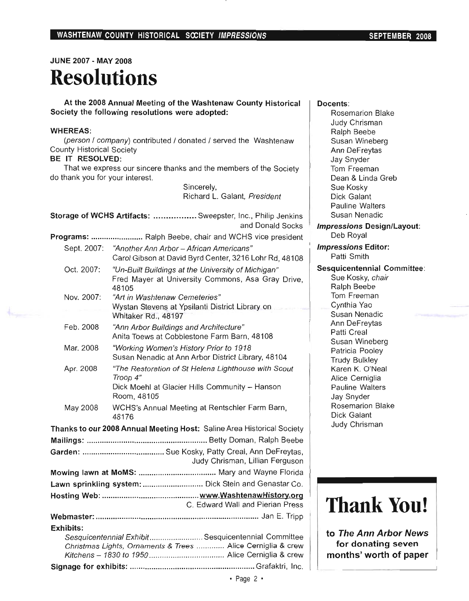## **JUNE 2007 - MAY 2008 Resolutions**

**At the 2008 Annual Meeting of the Washtenaw County Historical Society the following resolutions were adopted:** 

#### **WHEREAS:**

(person / company) contributed / donated / served the Washtenaw County Historical Society

#### **BE IT RESOLVED:**

That we express our sincere thanks and the members of the Society do thank you for your interest.

> Sincerely, Richard L. Galant, President

| Storage of WCHS Artifacts:  Sweepster, Inc., Philip Jenkins<br>and Donald Socks                                    |                                                                                                                                  |  |
|--------------------------------------------------------------------------------------------------------------------|----------------------------------------------------------------------------------------------------------------------------------|--|
|                                                                                                                    | Programs:  Ralph Beebe, chair and WCHS vice president                                                                            |  |
|                                                                                                                    | Sept. 2007: "Another Ann Arbor - African Americans"<br>Carol Gibson at David Byrd Center, 3216 Lohr Rd, 48108                    |  |
| Oct. 2007:                                                                                                         | "Un-Built Buildings at the University of Michigan"<br>Fred Mayer at University Commons, Asa Gray Drive,<br>48105                 |  |
| Nov. 2007:                                                                                                         | "Art in Washtenaw Cemeteries"<br>Wystan Stevens at Ypsilanti District Library on<br>Whitaker Rd., 48197                          |  |
| Feb. 2008                                                                                                          | "Ann Arbor Buildings and Architecture"<br>Anita Toews at Cobblestone Farm Barn, 48108                                            |  |
| Mar. 2008                                                                                                          | "Working Women's History Prior to 1918<br>Susan Nenadic at Ann Arbor District Library, 48104                                     |  |
| Apr. 2008                                                                                                          | "The Restoration of St Helena Lighthouse with Scout<br>Troop 4"<br>Dick Moehl at Glacier Hills Community - Hanson<br>Room, 48105 |  |
| May 2008                                                                                                           | WCHS's Annual Meeting at Rentschler Farm Barn,<br>48176                                                                          |  |
| Thanks to our 2008 Annual Meeting Host: Saline Area Historical Society                                             |                                                                                                                                  |  |
|                                                                                                                    |                                                                                                                                  |  |
|                                                                                                                    | Judy Chrisman, Lillian Ferguson                                                                                                  |  |
|                                                                                                                    |                                                                                                                                  |  |
| Lawn sprinkling system:  Dick Stein and Genastar Co.                                                               |                                                                                                                                  |  |
| C. Edward Wall and Pierian Press                                                                                   |                                                                                                                                  |  |
|                                                                                                                    |                                                                                                                                  |  |
| <b>Exhibits:</b>                                                                                                   |                                                                                                                                  |  |
| Sesquicentennial Exhibit Sesquicentennial Committee<br>Christmas Lights, Ornaments & Trees  Alice Cerniglia & crew |                                                                                                                                  |  |
|                                                                                                                    |                                                                                                                                  |  |

#### **Docents:**

Rosemarion Blake Judy Chrisman Ralph Beebe Susan Wineberg Ann DeFreytas Jay Snyder Tom Freeman Dean & Linda Greb Sue Kosky Dick Galant Pauline Walters Susan Nenadic

**Impressions DesignlLayout:**  Deb Royal

**Impressions Editor:**  Patti Smith

#### **Sesquicentennial Committee:**

Sue Kosky, chair Ralph Beebe Tom Freeman Cynthia Yao Susan Nenadic Ann DeFreytas Patti Creal Susan Wineberg Patricia Pooley Trudy Bulkley Karen K. O'Neal Alice Cerniglia Pauline Walters Jay Snyder Rosemarion Blake Dick Galant Judy Chrisman

## **Thank You!**

**to The Ann Arbor News for donating seven months' worth of paper**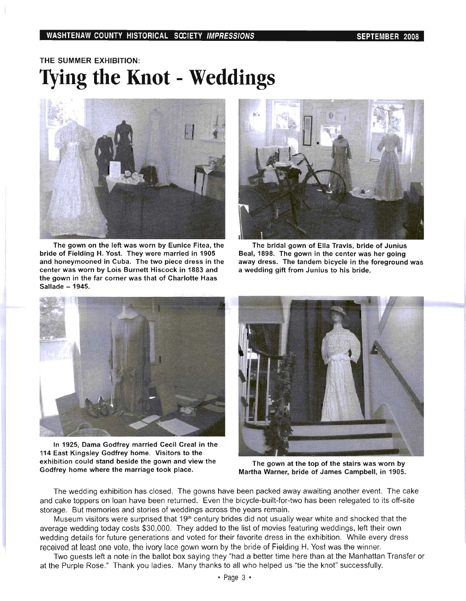#### WASHTENAW COUNTY HISTORICAL SCCIETY IMPRESSIONS SEPTEMBER 2008

## THE SUMMER EXHIBITION: **Tying the Knot - Weddings**



The gown on the left was worn by Eunice Fitea, the bride of Fielding H. Yost. They were married in 1905 and honeymooned in Cuba. The two piece dress in the center was worn by Lois Burnett Hiscock in 1883 and the gown in the far corner was that of Charlotte Haas Sallade - 1945.



The bridal gown of Ella Travis, bride of Junius Beal, 1898. The gown in the center was her going away dress. The tandem bicycle in the foreground was a wedding gift from Junius to his bride.



In 1925, Dama Godfrey married Cecil Creal in the 114 East Kingsley Godfrey home. Visitors to the exhibition could stand beside the gown and view the Godfrey home where the marriage took place.



The gown at the top of the stairs was worn by Martha Warner, bride of James Campbell, in 1905.

The wedding exhibition has closed. The gowns have been packed away awaiting another event. The cake and cake toppers on loan have been returned. Even the bicycle-built-for-two has been relegated to its off-site storage. But memories and stories of weddings across the years remain.

Museum visitors were surprised that 19<sup>th</sup> century brides did not usually wear white and shocked that the average wedding today costs \$30,000. They added to the list of movies featuring weddings, left their own wedding details for future generations and voted for their favorite dress in the exhibition. While every dress received at least one vote, the ivory lace gown worn by the bride of Fielding H. Yost was the winner.

Two guests left a note in the ballot box saying they "had a better time here than at the Manhattan Transfer or at the Purple Rose." Thank you ladies. Many thanks to all who helped us "tie the knot" successfully.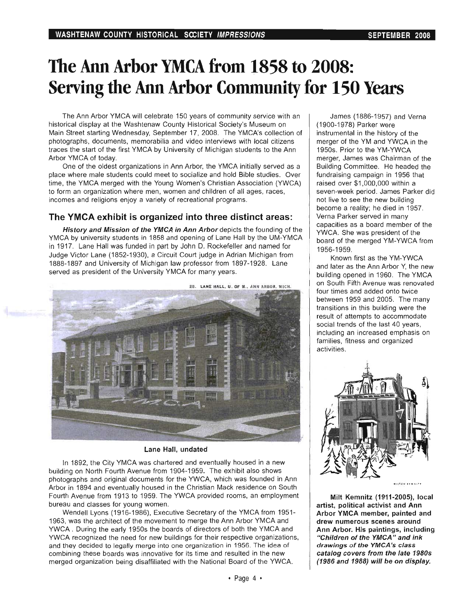## The Ann Arbor YMCA from 1858 to 2008: Serving the Ann Arbor Community for 150 Years

The Ann Arbor YMCA will celebrate 150 years of community service with an historical display at the Washtenaw County Historical Society's Museum on Main Street starting Wednesday, September 17, 2008. The YMCA's collection of photographs, documents, memorabilia and video interviews with local citizens traces the start of the first YMCA by University of Michigan students to the Ann Arbor YMCA of today.

One of the oldest organizations in Ann Arbor, the YMCA initially served as a place where male students could meet to socialize and hold Bible studies. Over time, the YMCA merged with the Young Women's Christian Association (YWCA) to form an organization where men, women and children of all ages, races, incomes and religions enjoy a variety of recreational programs.

### The YMCA exhibit is organized into three distinct areas:

History and Mission of the YMCA in Ann Arbor depicts the founding of the YMCA by university students in 1858 and opening of Lane Hall by the UM-YMCA in 1917. Lane Hall was funded in part by John D. Rockefeller and named for Judge Victor Lane (1852-1930), a Circuit Court judge in Adrian Michigan from 1888-1897 and University of Michigan law professor from 1897-1928. Lane served as president of the University YMCA for many years.



Lane Hall, undated

In 1892, the City YMCA was chartered and eventually housed in a new building on North Fourth Avenue from 1904-1959. The exhibit also shows photographs and original documents for the YWCA, which was founded in Ann Arbor in 1894 and eventually housed in the Christian Mack residence on South Fourth Avenue from 1913 to 1959. The YWCA provided rooms, an employment bureau and classes for young women.

Wendell Lyons (1916-1986), Executive Secretary of the YMCA from 1951- 1963, was the architect of the movement to merge the Ann Arbor YMCA and YWCA. During the early 1950s the boards of directors of both the YMCA and YWCA recognized the need for new buildings for their respective organizations, and they decided to legally merge into one organization in 1956. The idea of combining these boards was innovative for its time and resulted in the new merged organization being disaffiliated with the National Board of the YWCA.

James (1886-1957) and Verna (1900-1978) Parker were instrumental in the history of the merger of the YM and YWCA in the 1950s. Prior to the YM-YWCA merger, James was Chairman of the Building Committee. He headed the fundraising campaign in 1956 that raised over \$1,000,000 within a seven-week period. James Parker did not live to see the new building become a reality; he died in 1957. Verna Parker served in many capacities as a board member of the YWCA. She was president of the board of the merged YM-YWCA from 1956-1959.

Known first as the YM-YWCA and later as the Ann Arbor Y, the new building opened in 1960. The YMCA on South Fifth Avenue was renovated four times and added onto twice between 1959 and 2005. The many transitions in this building were the result of attempts to accommodate social trends of the last 40 years, including an increased emphasis on families, fitness and organized activities.



**NISERK KENNIST** 

Milt Kemnitz (1911-2005), local artist, political activist and Ann Arbor YMCA member, painted and drew numerous scenes around Ann Arbor. His paintings, including "Children of the YMCA" and ink drawings of the YMCA's class catalog covers from the late 19805 (1986 and 1988) will be on display.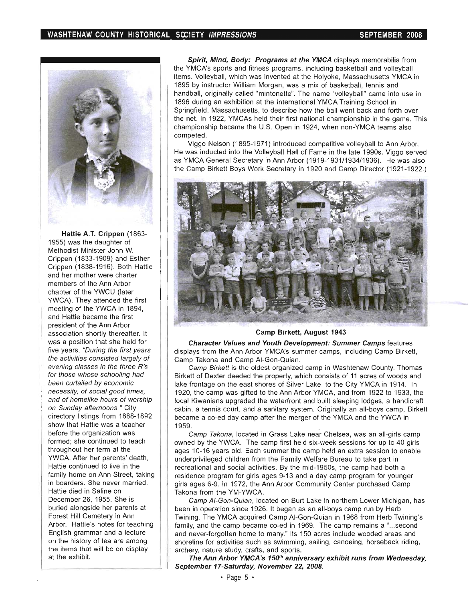

Hattie A.T. Crippen (1863- 1955) was the daughter of Methodist Minister John W. Crippen (1833-1909) and Esther Crippen (1838-1916). Both Hattie and her mother were charter members of the Ann Arbor chapter of the YWCU (later YWCA). They attended the first meeting of the YWCA in 1894, and Hattie became the first president of the Ann Arbor association shortly thereafter. It was a position that she held for five years. "During the first years the activities consisted largely of evening classes in the three R's for those whose schooling had been curtailed by economic necessity, of social good times, and of homelike hours of worship on Sunday afternoons. " City directory listings from 1888-1892 show that Hattie was a teacher before the organization was formed; she continued to teach throughout her term at the YWCA. After her parents' death, Hattie continued to live in the family home on Ann Street, taking in boarders. She never married. Hattie died in Saline on December 26, 1955. She is buried alongside her parents at Forest Hill Cemetery in Ann Arbor. Hattie's notes for teaching English grammar and a lecture on the history of tea are among the items that will be on display at the exhibit.

Spirit, Mind, Body: Programs at the YMCA displays memorabilia from the YMCA's sports and fitness programs, including basketball and volleyball items. Volleyball, which was invented at the Holyoke, Massachusetts YMCA in 1895 by instructor William Morgan, was a mix of basketball, tennis and handball, originally called "mintonette". The name "volleyball" came into use in 1896 during an exhibition at the International YMCA Training School in Springfield, Massachusetts, to describe how the ball went back and forth over the net. In 1922, YMCAs held their first national championship in the game. This championship became the U.S. Open in 1924, when non-YMCA teams also competed.

Viggo Nelson (1895-1971) introduced competitive volleyball to Ann Arbor. He was inducted into the Volleyball Hall of Fame in the late 1990s. Viggo served as YMCA General Secretary in Ann Arbor (1919-1931/1934/1936). He was also the Camp Birkett Boys Work Secretary in 1920 and Camp Director (1921-1922.)



#### Camp Birkett, August 1943

Character Values and Youth Development: Summer Camps features displays from the Ann Arbor YMCA's summer camps, including Camp Birkett, Camp Takona and Camp AI-Gon-Quian.

Camp Birkett is the oldest organized camp in Washtenaw County. Thomas Birkett of Dexter deeded the property, which consists of 11 acres of woods and lake frontage on the east shores of Silver Lake, to the City YMCA in 1914. In 1920, the camp was gifted to the Ann Arbor YMCA, and from 1922 to 1933, the local Kiwanians upgraded the waterfront and built sleeping lodges, a handicraft cabin, a tennis court, and a sanitary system. Originally an all-boys camp, Birkett became a co-ed day camp after the merger of the YMCA and the YWCA in 1959.

Camp Takona, located in Grass Lake near Chelsea, was an all-girls camp owned by the YWCA. The camp first held six-week sessions for up to 40 girls ages 10-16 years old. Each summer the camp held an extra session to enable underprivileged children from the Family Welfare Bureau to take part in recreational and social activities. By the mid-1950s, the camp had both a residence program for girls ages 9-13 and a day camp program for younger girls ages 6-9. In 1972, the Ann Arbor Community Center purchased Camp Takona from the YM-YWCA.

Camp AI-Gon-Quian, located on Burt Lake in northern Lower Michigan, has been in operation since 1926. It began as an all-boys camp run by Herb Twining. The YMCA acquired Camp AI-Gon-Quian in 1968 from Herb Twining's family, and the camp became co-ed in 1969. The camp remains a "... second and never-forgotten home to many." Its 150 acres include wooded areas and shoreline for activities such as swimming, sailing, canoeing, horseback riding, arChery, nature study, crafts, and sports.

The Ann Arbor YMCA's 150<sup>th</sup> anniversary exhibit runs from Wednesday, September 17-Saturday, November 22, 2008.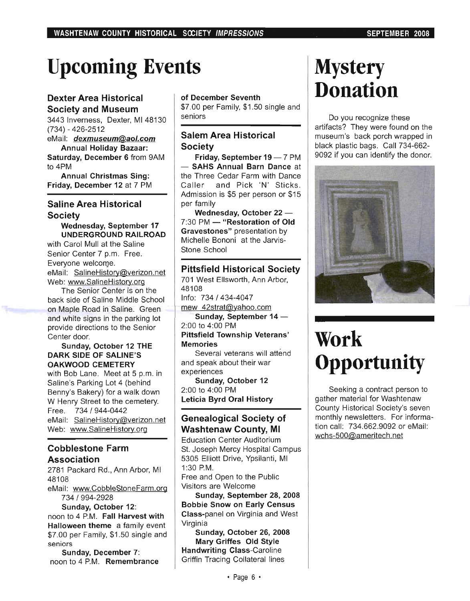# **Upcoming Events**

### Dexter Area Historical Society and Museum

3443 Inverness, Dexter, MI 48130 (734) - 426-2512

eMail: dexmuseum@aol.com Annual Holiday Bazaar:

Saturday, December 6 from 9AM to 4PM

Annual Christmas Sing: Friday, December 12 at 7 PM

### Saline Area Historical **Society**

Wednesday, September 17 UNDERGROUND RAILROAD

with Carol Mull at the Saline Senior Center 7 p.m. Free. Everyone welcome. eMail: SalineHistory@verizon.net Web: www.SalineHistory.org

The Senior Center is on the back side of Saline Middle School on Maple Road in Saline. Green and white signs in the parking lot provide directions to the Senior Center door.

#### Sunday, October 12 THE DARK SIDE OF SALINE'S OAKWOOD CEMETERY

with Bob Lane. Meet at 5 p.m. in Saline's Parking Lot 4 (behind Benny's Bakery) for a walk down W Henry Street to the cemetery. Free. 734/944-0442 eMail: SalineHistory@verizon.net Web: www.SalineHistory.org

### Cobblestone Farm Association

2781 Packard Rd., Ann Arbor, MI 48108 eMail: www.CobbleStoneFarm.org

734 / 994-2928 Sunday, October 12:

noon to 4 P.M. Fall Harvest with Halloween theme a family event \$7.00 per Family, \$1.50 single and seniors

Sunday, December 7: noon to 4 P.M. Remembrance

#### of December Seventh

\$7.00 per Family, \$1 .50 single and seniors

### Salem Area Historical **Society**

Friday, September 19 - 7 PM - SAHS Annual Barn Dance at the Three Cedar Farm with Dance Caller and Pick 'N' Sticks. Admission is \$5 per person or \$15 per family

Wednesday, October 22 -7:30 PM - "Restoration of Old Gravestones" presentation by Michelle Bononi at the Jarvis-Stone School

### Pittsfield Historical Society

701 West Ellsworth, Ann Arbor, 48108 Info: 734/434-4047 mew 42strat@yahoo.com Sunday, September  $14 -$ 2:00 to 4:00 PM Pittsfield Township Veterans' Memories Several veterans will attend

and speak about their war experiences Sunday, October 12

2:00 to 4:00 PM Leticia Byrd Oral History

### Genealogical Society of Washtenaw County, **MI**

Education Center Auditorium St. Joseph Mercy Hospital Campus 5305 Elliott Drive, YpSilanti, MI 1 :30 P.M. Free and Open to the Public Visitors are Welcome

Sunday, September 28, 2008 Bobbie Snow on Early Census Class-panel on Virginia and West Virginia

Sunday, October 26, 2008 Mary Griffes Old Style Handwriting Class-Caroline Griffin Tracing Collateral lines

# **Mystery Donation**

Do you recognize these artifacts? They were found on the museum's back porch wrapped in black plastic bags. Call 734-662- 9092 if you can identify the donor.



# **Work Opportunity**

Seeking a contract person to gather material for Washtenaw County Historical Society's seven monthly newsletters. For information call: 734.662.9092 or eMail: wchs-500@ameritech.net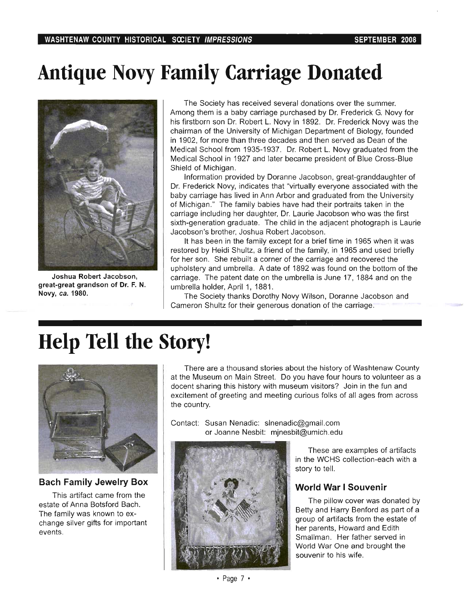## **Antique Novy Family Carriage Donated**



Joshua Robert Jacobson, great-great grandson of Dr. F. N. Novy, *ca.* 1980.

The Society has received several donations over the summer. Among them is a baby carriage purchased by Dr. Frederick G. Novy for his firstborn son Dr. Robert L. Novy in 1892. Dr. Frederick Novy was the chairman of the University of Michigan Department of Biology, founded in 1902, for more than three decades and then served as Dean of the Medical School from 1935-1937. Dr. Robert L. Novy graduated from the Medical School in 1927 and later became president of Blue Cross-Blue Shield of Michigan.

Information provided by Doranne Jacobson, great-granddaughter of Dr. Frederick Novy, indicates that "virtually everyone associated with the baby carriage has lived in Ann Arbor and graduated from the University of Michigan." The family babies have had their portraits taken in the carriage including her daughter, Dr. Laurie Jacobson who was the first sixth-generation graduate. The child in the adjacent photograph is Laurie Jacobson's brother, Joshua Robert Jacobson.

It has been in the family except for a brief time in 1965 when it was restored by Heidi Shultz, a friend of the family, in 1965 and used briefly for her son. She rebuilt a corner of the carriage and recovered the upholstery and umbrella. A date of 1892 was found on the bottom of the carriage. The patent date on the umbrella is June 17, 1884 and on the umbrella holder, April 1, 1881.

The Society thanks Dorothy Novy Wilson, Doranne Jacobson and Cameron Shultz for their generous donation of the carriage.

# **Help Tell the Story!**



**Bach Family Jewelry Box** 

This artifact came from the estate of Anna Botsford Bach. The family was known to exchange silver gifts for important events.

There are a thousand stories about the history of Washtenaw County at the Museum on Main Street. Do you have four hours to volunteer as a docent sharing this history with museum visitors? Join in the fun and excitement of greeting and meeting curious folks of all ages from across the country.

Contact: Susan Nenadic: slnenadic@gmail.com or Joanne Nesbit: mjnesbit@umich.edu



These are examples of artifacts in the WCHS collection-each with a story to tell.

### **World War I Souvenir**

The pillow cover was donated by Betty and Harry Benford as part of a group of artifacts from the estate of her parents, Howard and Edith Smallman. Her father served in World War One and brought the souvenir to his wife.